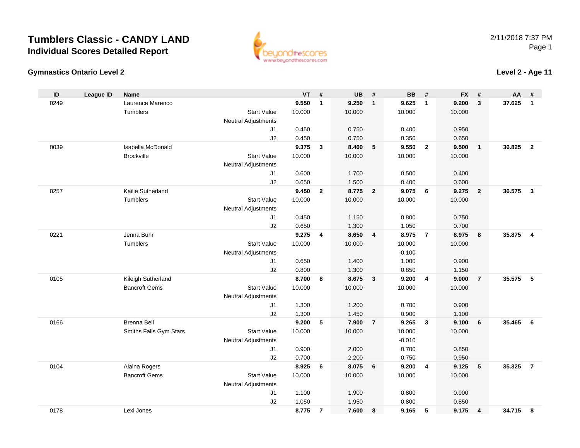**Gymnastics Ontario Level 2**



## **Level 2 - Age 11**

| ID   | <b>League ID</b> | Name                   |                            | <b>VT</b> | #              | <b>UB</b>       | #              | <b>BB</b>       | #                       | <b>FX</b> | #                       | AA     | #                       |
|------|------------------|------------------------|----------------------------|-----------|----------------|-----------------|----------------|-----------------|-------------------------|-----------|-------------------------|--------|-------------------------|
| 0249 |                  | Laurence Marenco       |                            | 9.550     | $\mathbf{1}$   | 9.250           | $\mathbf{1}$   | 9.625           | 1                       | 9.200     | $\mathbf{3}$            | 37.625 | $\mathbf{1}$            |
|      |                  | Tumblers               | <b>Start Value</b>         | 10.000    |                | 10.000          |                | 10.000          |                         | 10.000    |                         |        |                         |
|      |                  |                        | <b>Neutral Adjustments</b> |           |                |                 |                |                 |                         |           |                         |        |                         |
|      |                  |                        | J1                         | 0.450     |                | 0.750           |                | 0.400           |                         | 0.950     |                         |        |                         |
|      |                  |                        | J2                         | 0.450     |                | 0.750           |                | 0.350           |                         | 0.650     |                         |        |                         |
| 0039 |                  | Isabella McDonald      |                            | 9.375     | 3              | 8.400           | 5              | 9.550           | $\overline{2}$          | 9.500     | $\overline{\mathbf{1}}$ | 36.825 | $\overline{2}$          |
|      |                  | <b>Brockville</b>      | <b>Start Value</b>         | 10.000    |                | 10.000          |                | 10.000          |                         | 10.000    |                         |        |                         |
|      |                  |                        | Neutral Adjustments        |           |                |                 |                |                 |                         |           |                         |        |                         |
|      |                  |                        | J1                         | 0.600     |                | 1.700           |                | 0.500           |                         | 0.400     |                         |        |                         |
|      |                  |                        | J2                         | 0.650     |                | 1.500           |                | 0.400           |                         | 0.600     |                         |        |                         |
| 0257 |                  | Kailie Sutherland      |                            | 9.450     | $\mathbf{2}$   | 8.775           | $\overline{2}$ | 9.075           | 6                       | 9.275     | $\overline{\mathbf{2}}$ | 36.575 | $\overline{\mathbf{3}}$ |
|      |                  | Tumblers               | <b>Start Value</b>         | 10.000    |                | 10.000          |                | 10.000          |                         | 10.000    |                         |        |                         |
|      |                  |                        | <b>Neutral Adjustments</b> |           |                |                 |                |                 |                         |           |                         |        |                         |
|      |                  |                        | J1                         | 0.450     |                | 1.150           |                | 0.800           |                         | 0.750     |                         |        |                         |
|      |                  |                        | J2                         | 0.650     |                | 1.300           |                | 1.050           |                         | 0.700     |                         |        |                         |
| 0221 |                  | Jenna Buhr<br>Tumblers | <b>Start Value</b>         | 9.275     | 4              | 8.650<br>10.000 | 4              | 8.975<br>10.000 | $\overline{7}$          | 8.975     | $\overline{\mathbf{8}}$ | 35.875 | $\overline{4}$          |
|      |                  |                        | <b>Neutral Adjustments</b> | 10.000    |                |                 |                | $-0.100$        |                         | 10.000    |                         |        |                         |
|      |                  |                        | J1                         | 0.650     |                | 1.400           |                | 1.000           |                         | 0.900     |                         |        |                         |
|      |                  |                        | J2                         | 0.800     |                | 1.300           |                | 0.850           |                         | 1.150     |                         |        |                         |
| 0105 |                  | Kileigh Sutherland     |                            | 8.700     | 8              | 8.675           | 3              | 9.200           | $\overline{\mathbf{4}}$ | 9.000     | $\overline{7}$          | 35.575 | - 5                     |
|      |                  | <b>Bancroft Gems</b>   | <b>Start Value</b>         | 10.000    |                | 10.000          |                | 10.000          |                         | 10.000    |                         |        |                         |
|      |                  |                        | <b>Neutral Adjustments</b> |           |                |                 |                |                 |                         |           |                         |        |                         |
|      |                  |                        | J1                         | 1.300     |                | 1.200           |                | 0.700           |                         | 0.900     |                         |        |                         |
|      |                  |                        | J2                         | 1.300     |                | 1.450           |                | 0.900           |                         | 1.100     |                         |        |                         |
| 0166 |                  | <b>Brenna Bell</b>     |                            | 9.200     | 5              | 7.900           | $\overline{7}$ | 9.265           | 3                       | 9.100     | 6                       | 35.465 | - 6                     |
|      |                  | Smiths Falls Gym Stars | <b>Start Value</b>         | 10.000    |                | 10.000          |                | 10.000          |                         | 10.000    |                         |        |                         |
|      |                  |                        | <b>Neutral Adjustments</b> |           |                |                 |                | $-0.010$        |                         |           |                         |        |                         |
|      |                  |                        | J1                         | 0.900     |                | 2.000           |                | 0.700           |                         | 0.850     |                         |        |                         |
|      |                  |                        | J2                         | 0.700     |                | 2.200           |                | 0.750           |                         | 0.950     |                         |        |                         |
| 0104 |                  | Alaina Rogers          |                            | 8.925     | 6              | 8.075           | 6              | 9.200           | 4                       | 9.125     | $-5$                    | 35.325 | $\overline{7}$          |
|      |                  | <b>Bancroft Gems</b>   | <b>Start Value</b>         | 10.000    |                | 10.000          |                | 10.000          |                         | 10.000    |                         |        |                         |
|      |                  |                        | <b>Neutral Adjustments</b> |           |                |                 |                |                 |                         |           |                         |        |                         |
|      |                  |                        | J1                         | 1.100     |                | 1.900           |                | 0.800           |                         | 0.900     |                         |        |                         |
|      |                  |                        | J2                         | 1.050     |                | 1.950           |                | 0.800           |                         | 0.850     |                         |        |                         |
| 0178 |                  | Lexi Jones             |                            | 8.775     | $\overline{7}$ | 7.600           | 8              | 9.165           | 5                       | 9.175     | $\overline{4}$          | 34.715 | 8                       |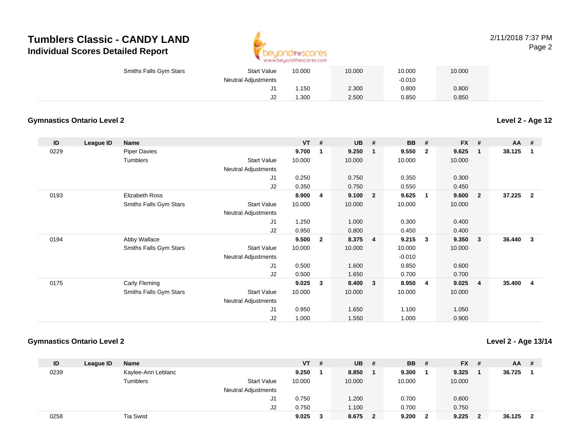

#### 2/11/2018 7:37 PMPage 2

| Smiths Falls Gym Stars | <b>Start Value</b>         | 10.000 | 10.000 | 10.000   | 10.000 |  |
|------------------------|----------------------------|--------|--------|----------|--------|--|
|                        | <b>Neutral Adjustments</b> |        |        | $-0.010$ |        |  |
|                        | J1.                        | .150   | 2.300  | 0.800    | 0.800  |  |
|                        | J2                         | .300   | 2.500  | 0.850    | 0.850  |  |

### **Gymnastics Ontario Level 2**

**Level 2 - Age 12**

| ID   | League ID | <b>Name</b>            |                            | $VT$ # |                | <b>UB</b> | #              | <b>BB</b> | #              | <b>FX</b> | #                       | <b>AA</b> | #              |
|------|-----------|------------------------|----------------------------|--------|----------------|-----------|----------------|-----------|----------------|-----------|-------------------------|-----------|----------------|
| 0229 |           | <b>Piper Davies</b>    |                            | 9.700  | 1              | 9.250     | $\mathbf 1$    | 9.550     | $\mathbf{2}$   | 9.625     | $\mathbf 1$             | 38.125    | 1              |
|      |           | Tumblers               | <b>Start Value</b>         | 10.000 |                | 10.000    |                | 10.000    |                | 10.000    |                         |           |                |
|      |           |                        | <b>Neutral Adjustments</b> |        |                |           |                |           |                |           |                         |           |                |
|      |           |                        | J1                         | 0.250  |                | 0.750     |                | 0.350     |                | 0.300     |                         |           |                |
|      |           |                        | J2                         | 0.350  |                | 0.750     |                | 0.550     |                | 0.450     |                         |           |                |
| 0193 |           | Elizabeth Ross         |                            | 8.900  | 4              | 9.100     | $\overline{2}$ | 9.625     | $\overline{1}$ | 9.600     | $\overline{\mathbf{2}}$ | 37.225    | $\overline{2}$ |
|      |           | Smiths Falls Gym Stars | <b>Start Value</b>         | 10.000 |                | 10.000    |                | 10.000    |                | 10.000    |                         |           |                |
|      |           |                        | Neutral Adjustments        |        |                |           |                |           |                |           |                         |           |                |
|      |           |                        | J1                         | 1.250  |                | 1.000     |                | 0.300     |                | 0.400     |                         |           |                |
|      |           |                        | J2                         | 0.950  |                | 0.800     |                | 0.450     |                | 0.400     |                         |           |                |
| 0194 |           | Abby Wallace           |                            | 9.500  | $\overline{2}$ | 8.375     | $\overline{4}$ | 9.215     | $\mathbf{3}$   | 9.350     | $\mathbf{3}$            | 36.440    | 3              |
|      |           | Smiths Falls Gym Stars | <b>Start Value</b>         | 10.000 |                | 10.000    |                | 10.000    |                | 10.000    |                         |           |                |
|      |           |                        | Neutral Adjustments        |        |                |           |                | $-0.010$  |                |           |                         |           |                |
|      |           |                        | J1                         | 0.500  |                | 1.600     |                | 0.850     |                | 0.600     |                         |           |                |
|      |           |                        | J2                         | 0.500  |                | 1.650     |                | 0.700     |                | 0.700     |                         |           |                |
| 0175 |           | Carly Fleming          |                            | 9.025  | 3              | 8.400     | 3              | 8.950     | -4             | 9.025     | $\overline{4}$          | 35.400    | 4              |
|      |           | Smiths Falls Gym Stars | <b>Start Value</b>         | 10.000 |                | 10.000    |                | 10.000    |                | 10.000    |                         |           |                |
|      |           |                        | Neutral Adjustments        |        |                |           |                |           |                |           |                         |           |                |
|      |           |                        | J1                         | 0.950  |                | 1.650     |                | 1.100     |                | 1.050     |                         |           |                |
|      |           |                        | J2                         | 1.000  |                | 1.550     |                | 1.000     |                | 0.900     |                         |           |                |

#### **Gymnastics Ontario Level 2**

**Level 2 - Age 13/14**

| ID   | League ID | <b>Name</b>        |                            | <b>VT</b> | # | <b>UB</b> | #  | <b>BB</b> | -# | $FX$ # |    | $AA$ #   |  |
|------|-----------|--------------------|----------------------------|-----------|---|-----------|----|-----------|----|--------|----|----------|--|
| 0239 |           | Kaylee-Ann Leblanc |                            | 9.250     |   | 8.850     |    | 9.300     |    | 9.325  |    | 36.725   |  |
|      |           | Tumblers           | <b>Start Value</b>         | 10.000    |   | 10.000    |    | 10.000    |    | 10.000 |    |          |  |
|      |           |                    | <b>Neutral Adjustments</b> |           |   |           |    |           |    |        |    |          |  |
|      |           |                    | J1                         | 0.750     |   | 1.200     |    | 0.700     |    | 0.600  |    |          |  |
|      |           |                    | J2                         | 0.750     |   | 1.100     |    | 0.700     |    | 0.750  |    |          |  |
| 0258 |           | Tia Swist          |                            | 9.025     |   | 8.675     | -2 | 9.200     | 2  | 9.225  | -2 | 36.125 2 |  |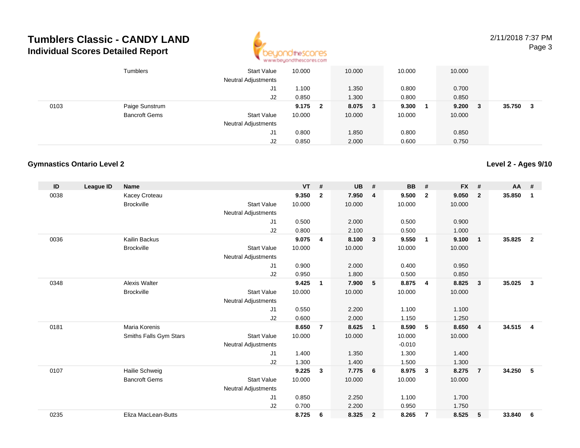

2/11/2018 7:37 PMPage 3

|      | Tumblers             | <b>Start Value</b><br><b>Neutral Adjustments</b> | 10.000 |                         | 10.000  | 10.000 | 10.000 |   |        |   |
|------|----------------------|--------------------------------------------------|--------|-------------------------|---------|--------|--------|---|--------|---|
|      |                      | J1                                               | 1.100  |                         | 1.350   | 0.800  | 0.700  |   |        |   |
|      |                      | J2                                               | 0.850  |                         | 1.300   | 0.800  | 0.850  |   |        |   |
| 0103 | Paige Sunstrum       |                                                  | 9.175  | $\overline{\mathbf{2}}$ | 8.075 3 | 9.300  | 9.200  | 3 | 35.750 | 3 |
|      | <b>Bancroft Gems</b> | <b>Start Value</b>                               | 10.000 |                         | 10.000  | 10.000 | 10.000 |   |        |   |
|      |                      | <b>Neutral Adjustments</b>                       |        |                         |         |        |        |   |        |   |
|      |                      | J1                                               | 0.800  |                         | 1.850   | 0.800  | 0.850  |   |        |   |
|      |                      | J2                                               | 0.850  |                         | 2.000   | 0.600  | 0.750  |   |        |   |

#### **Gymnastics Ontario Level 2**

**ID League ID Name VT # UB # BB # FX # AA #** 0038 Kacey Croteau **9.350 <sup>2</sup> 7.950 <sup>4</sup> 9.500 <sup>2</sup> 9.050 <sup>2</sup> 35.850 <sup>1</sup>** Brockville Start Value 10.000 10.000 10.000 10.000 Neutral Adjustments J1 0.500 2.000 0.500 0.900 J2 0.800 2.100 0.500 1.000 0036 Kailin Backus **9.075 <sup>4</sup> 8.100 <sup>3</sup> 9.550 <sup>1</sup> 9.100 <sup>1</sup> 35.825 <sup>2</sup> Brockville**  Start Value 10.000 10.000 10.000 10.000 Neutral Adjustments J1 0.900 2.000 0.400 0.950 J2 0.950 1.800 0.500 0.850 0348 Alexis Walter **9.425 <sup>1</sup> 7.900 <sup>5</sup> 8.875 <sup>4</sup> 8.825 <sup>3</sup> 35.025 <sup>3</sup> Brockville**  Start Value 10.000 10.000 10.000 10.000 Neutral Adjustments J1 0.550 2.200 1.100 1.100 J2 0.600 2.000 1.150 1.250 0181 Maria Korenis **8.650 <sup>7</sup> 8.625 <sup>1</sup> 8.590 <sup>5</sup> 8.650 <sup>4</sup> 34.515 <sup>4</sup>** Smiths Falls Gym Stars Start Valuee 10.000 10.000 10.000 10.000 Neutral Adjustments $\sim$  -0.010 1.300 J1 1.400 1.350 1.300 1.400 J2 1.300 1.400 1.500 1.300 0107 Hailie Schweig **9.225 <sup>3</sup> 7.775 <sup>6</sup> 8.975 <sup>3</sup> 8.275 <sup>7</sup> 34.250 <sup>5</sup>** Bancroft Gems Start Valuee 10.000 10.000 10.000 10.000 Neutral Adjustments J1 0.850 2.250 1.100 1.700 J2 0.700 2.200 0.950 1.750 0235Eliza MacLean-Butts **8.725 <sup>6</sup> 8.325 <sup>2</sup> 8.265 <sup>7</sup> 8.525 <sup>5</sup> 33.840 <sup>6</sup>**

**Level 2 - Ages 9/10**